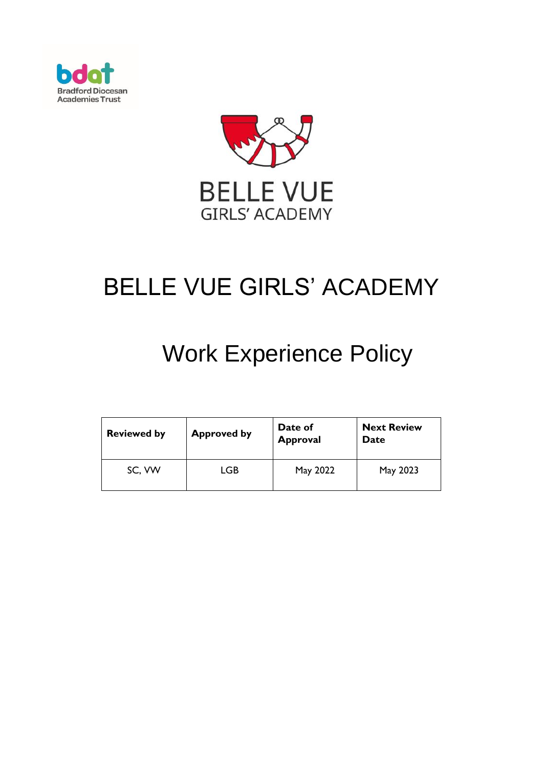



# BELLE VUE GIRLS' ACADEMY

# Work Experience Policy

| <b>Reviewed by</b> | <b>Approved by</b> | Date of<br><b>Approval</b> | <b>Next Review</b><br>Date |
|--------------------|--------------------|----------------------------|----------------------------|
| SC, VW             | LGB                | May 2022                   | May 2023                   |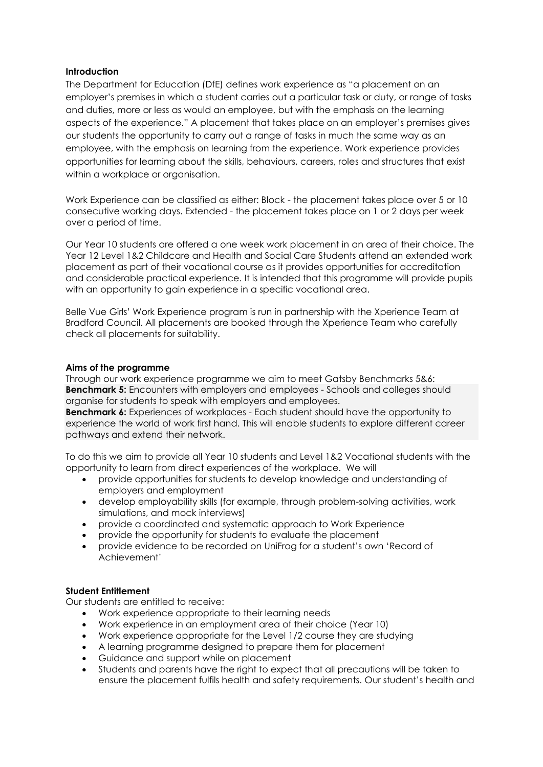# **Introduction**

The Department for Education (DfE) defines work experience as "a placement on an employer's premises in which a student carries out a particular task or duty, or range of tasks and duties, more or less as would an employee, but with the emphasis on the learning aspects of the experience." A placement that takes place on an employer's premises gives our students the opportunity to carry out a range of tasks in much the same way as an employee, with the emphasis on learning from the experience. Work experience provides opportunities for learning about the skills, behaviours, careers, roles and structures that exist within a workplace or organisation.

Work Experience can be classified as either: Block - the placement takes place over 5 or 10 consecutive working days. Extended - the placement takes place on 1 or 2 days per week over a period of time.

Our Year 10 students are offered a one week work placement in an area of their choice. The Year 12 Level 1&2 Childcare and Health and Social Care Students attend an extended work placement as part of their vocational course as it provides opportunities for accreditation and considerable practical experience. It is intended that this programme will provide pupils with an opportunity to gain experience in a specific vocational area.

Belle Vue Girls' Work Experience program is run in partnership with the Xperience Team at Bradford Council. All placements are booked through the Xperience Team who carefully check all placements for suitability.

#### **Aims of the programme**

Through our work experience programme we aim to meet Gatsby Benchmarks 5&6: **Benchmark 5:** Encounters with employers and employees - Schools and colleges should organise for students to speak with employers and employees.

**Benchmark 6:** Experiences of workplaces - Each student should have the opportunity to experience the world of work first hand. This will enable students to explore different career pathways and extend their network.

To do this we aim to provide all Year 10 students and Level 1&2 Vocational students with the opportunity to learn from direct experiences of the workplace. We will

- provide opportunities for students to develop knowledge and understanding of employers and employment
- develop employability skills (for example, through problem-solving activities, work simulations, and mock interviews)
- provide a coordinated and systematic approach to Work Experience
- provide the opportunity for students to evaluate the placement
- provide evidence to be recorded on UniFrog for a student's own 'Record of Achievement'

# **Student Entitlement**

Our students are entitled to receive:

- Work experience appropriate to their learning needs
- Work experience in an employment area of their choice (Year 10)
- Work experience appropriate for the Level 1/2 course they are studying
- A learning programme designed to prepare them for placement
- Guidance and support while on placement
- Students and parents have the right to expect that all precautions will be taken to ensure the placement fulfils health and safety requirements. Our student's health and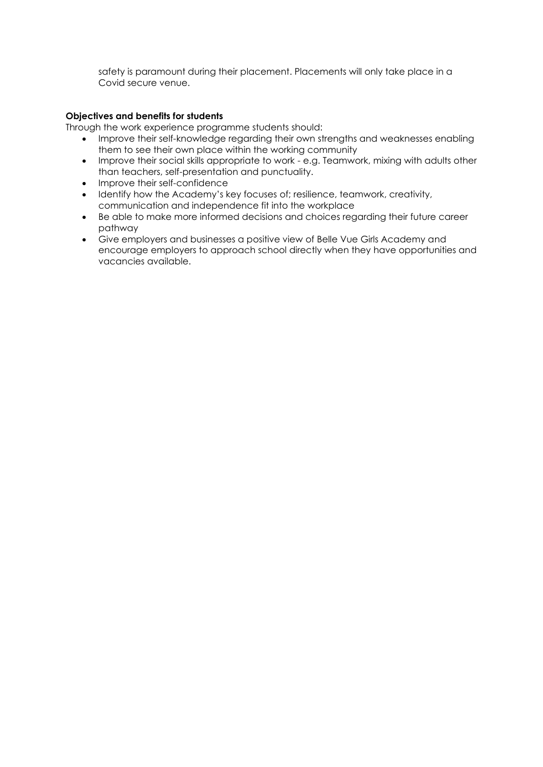safety is paramount during their placement. Placements will only take place in a Covid secure venue.

### **Objectives and benefits for students**

Through the work experience programme students should:

- Improve their self-knowledge regarding their own strengths and weaknesses enabling them to see their own place within the working community
- Improve their social skills appropriate to work e.g. Teamwork, mixing with adults other than teachers, self-presentation and punctuality.
- Improve their self-confidence
- Identify how the Academy's key focuses of; resilience, teamwork, creativity, communication and independence fit into the workplace
- Be able to make more informed decisions and choices regarding their future career pathway
- Give employers and businesses a positive view of Belle Vue Girls Academy and encourage employers to approach school directly when they have opportunities and vacancies available.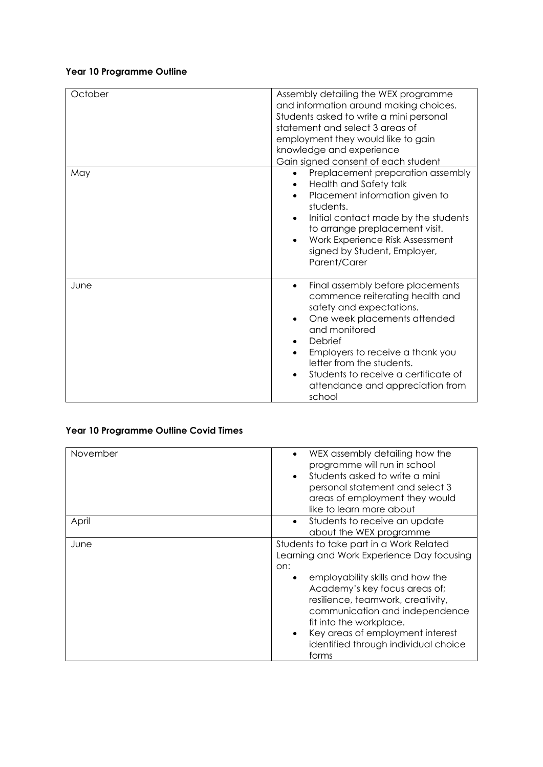# **Year 10 Programme Outline**

| October | Assembly detailing the WEX programme                           |  |
|---------|----------------------------------------------------------------|--|
|         | and information around making choices.                         |  |
|         | Students asked to write a mini personal                        |  |
|         | statement and select 3 areas of                                |  |
|         |                                                                |  |
|         | employment they would like to gain<br>knowledge and experience |  |
|         |                                                                |  |
|         | Gain signed consent of each student                            |  |
| May     | Preplacement preparation assembly                              |  |
|         | Health and Safety talk                                         |  |
|         | Placement information given to                                 |  |
|         | students.                                                      |  |
|         | Initial contact made by the students<br>$\bullet$              |  |
|         | to arrange preplacement visit.                                 |  |
|         | Work Experience Risk Assessment<br>$\bullet$                   |  |
|         | signed by Student, Employer,                                   |  |
|         | Parent/Carer                                                   |  |
|         |                                                                |  |
| June    | Final assembly before placements                               |  |
|         | commence reiterating health and                                |  |
|         | safety and expectations.                                       |  |
|         | One week placements attended                                   |  |
|         | and monitored                                                  |  |
|         | Debrief<br>$\bullet$                                           |  |
|         | Employers to receive a thank you                               |  |
|         | letter from the students.                                      |  |
|         | Students to receive a certificate of                           |  |
|         | attendance and appreciation from                               |  |
|         | school                                                         |  |

# **Year 10 Programme Outline Covid Times**

| November | WEX assembly detailing how the<br>programme will run in school<br>Students asked to write a mini<br>personal statement and select 3<br>areas of employment they would<br>like to learn more about                                                                                                                                                       |
|----------|---------------------------------------------------------------------------------------------------------------------------------------------------------------------------------------------------------------------------------------------------------------------------------------------------------------------------------------------------------|
| April    | Students to receive an update<br>$\bullet$<br>about the WEX programme                                                                                                                                                                                                                                                                                   |
| June     | Students to take part in a Work Related<br>Learning and Work Experience Day focusing<br>on:<br>employability skills and how the<br>Academy's key focus areas of;<br>resilience, teamwork, creativity,<br>communication and independence<br>fit into the workplace.<br>Key areas of employment interest<br>identified through individual choice<br>forms |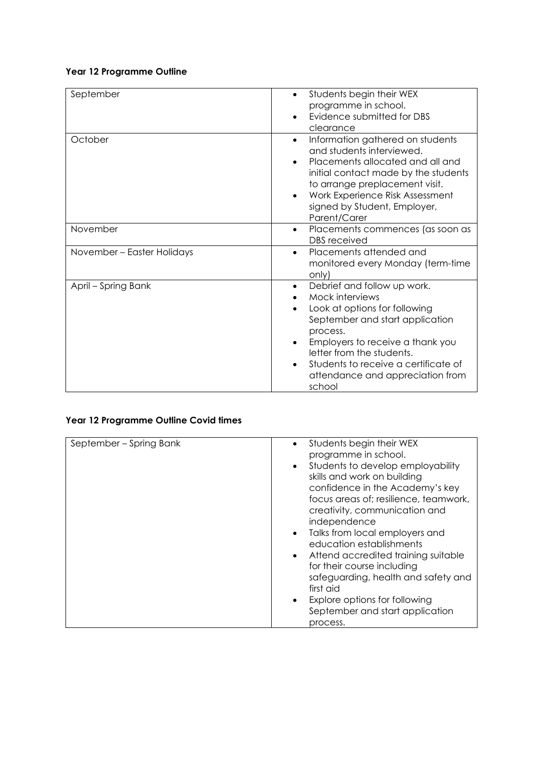# **Year 12 Programme Outline**

| September                  | Students begin their WEX<br>٠<br>programme in school.<br>Evidence submitted for DBS<br>clearance                                                                                                                                                                                                      |
|----------------------------|-------------------------------------------------------------------------------------------------------------------------------------------------------------------------------------------------------------------------------------------------------------------------------------------------------|
| October                    | Information gathered on students<br>$\bullet$<br>and students interviewed.<br>Placements allocated and all and<br>$\bullet$<br>initial contact made by the students<br>to arrange preplacement visit.<br>Work Experience Risk Assessment<br>$\bullet$<br>signed by Student, Employer,<br>Parent/Carer |
| November                   | Placements commences (as soon as<br>$\bullet$<br><b>DBS</b> received                                                                                                                                                                                                                                  |
| November - Easter Holidays | Placements attended and<br>$\bullet$<br>monitored every Monday (term-time<br>only)                                                                                                                                                                                                                    |
| April - Spring Bank        | Debrief and follow up work.<br>$\bullet$<br>Mock interviews<br>Look at options for following<br>September and start application<br>process.<br>Employers to receive a thank you<br>letter from the students.<br>Students to receive a certificate of<br>attendance and appreciation from<br>school    |

# **Year 12 Programme Outline Covid times**

| September - Spring Bank | Students begin their WEX<br>programme in school.<br>Students to develop employability<br>skills and work on building<br>confidence in the Academy's key<br>focus areas of; resilience, teamwork,<br>creativity, communication and<br>independence<br>Talks from local employers and<br>$\bullet$<br>education establishments<br>Attend accredited training suitable<br>for their course including<br>safeguarding, health and safety and<br>first aid<br>Explore options for following<br>September and start application<br>process. |
|-------------------------|---------------------------------------------------------------------------------------------------------------------------------------------------------------------------------------------------------------------------------------------------------------------------------------------------------------------------------------------------------------------------------------------------------------------------------------------------------------------------------------------------------------------------------------|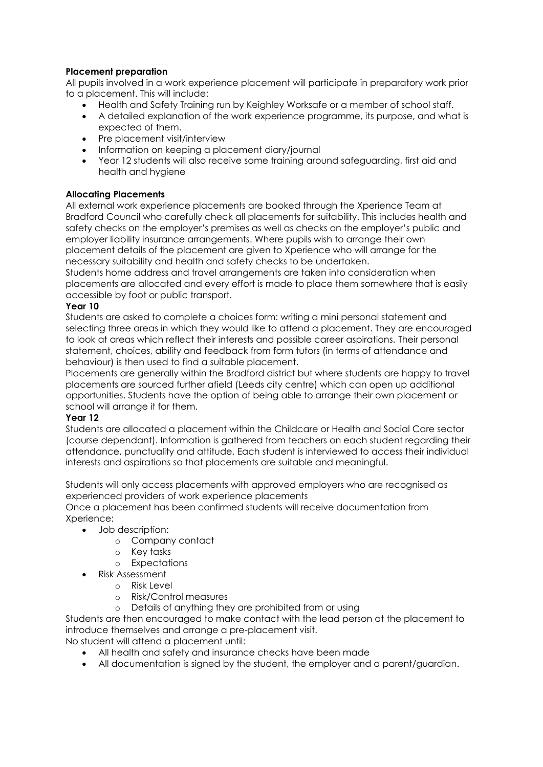# **Placement preparation**

All pupils involved in a work experience placement will participate in preparatory work prior to a placement. This will include:

- Health and Safety Training run by Keighley Worksafe or a member of school staff.
- A detailed explanation of the work experience programme, its purpose, and what is expected of them.
- Pre placement visit/interview
- Information on keeping a placement diary/journal
- Year 12 students will also receive some training around safeguarding, first aid and health and hygiene

# **Allocating Placements**

All external work experience placements are booked through the Xperience Team at Bradford Council who carefully check all placements for suitability. This includes health and safety checks on the employer's premises as well as checks on the employer's public and employer liability insurance arrangements. Where pupils wish to arrange their own placement details of the placement are given to Xperience who will arrange for the necessary suitability and health and safety checks to be undertaken.

Students home address and travel arrangements are taken into consideration when placements are allocated and every effort is made to place them somewhere that is easily accessible by foot or public transport.

# **Year 10**

Students are asked to complete a choices form: writing a mini personal statement and selecting three areas in which they would like to attend a placement. They are encouraged to look at areas which reflect their interests and possible career aspirations. Their personal statement, choices, ability and feedback from form tutors (in terms of attendance and behaviour) is then used to find a suitable placement.

Placements are generally within the Bradford district but where students are happy to travel placements are sourced further afield (Leeds city centre) which can open up additional opportunities. Students have the option of being able to arrange their own placement or school will arrange it for them.

#### **Year 12**

Students are allocated a placement within the Childcare or Health and Social Care sector (course dependant). Information is gathered from teachers on each student regarding their attendance, punctuality and attitude. Each student is interviewed to access their individual interests and aspirations so that placements are suitable and meaningful.

Students will only access placements with approved employers who are recognised as experienced providers of work experience placements

Once a placement has been confirmed students will receive documentation from Xperience:

- Job description:
	- o Company contact
	- o Key tasks
	- o Expectations
- Risk Assessment
	- o Risk Level
		- o Risk/Control measures
	- o Details of anything they are prohibited from or using

Students are then encouraged to make contact with the lead person at the placement to introduce themselves and arrange a pre-placement visit.

No student will attend a placement until:

- All health and safety and insurance checks have been made
- All documentation is signed by the student, the employer and a parent/guardian.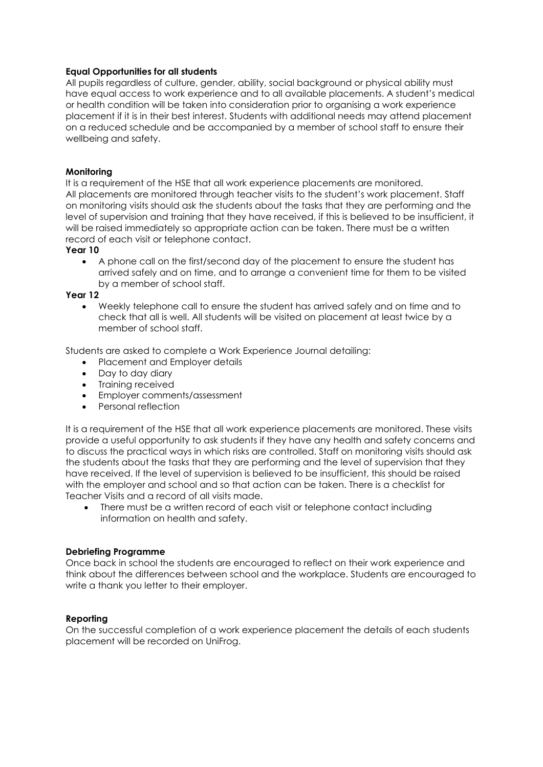#### **Equal Opportunities for all students**

All pupils regardless of culture, gender, ability, social background or physical ability must have equal access to work experience and to all available placements. A student's medical or health condition will be taken into consideration prior to organising a work experience placement if it is in their best interest. Students with additional needs may attend placement on a reduced schedule and be accompanied by a member of school staff to ensure their wellbeing and safety.

# **Monitoring**

It is a requirement of the HSE that all work experience placements are monitored. All placements are monitored through teacher visits to the student's work placement. Staff on monitoring visits should ask the students about the tasks that they are performing and the level of supervision and training that they have received, if this is believed to be insufficient, it will be raised immediately so appropriate action can be taken. There must be a written record of each visit or telephone contact.

# **Year 10**

• A phone call on the first/second day of the placement to ensure the student has arrived safely and on time, and to arrange a convenient time for them to be visited by a member of school staff.

#### **Year 12**

• Weekly telephone call to ensure the student has arrived safely and on time and to check that all is well. All students will be visited on placement at least twice by a member of school staff.

Students are asked to complete a Work Experience Journal detailing:

- Placement and Employer details
- Day to day diary
- Training received
- Employer comments/assessment
- Personal reflection

It is a requirement of the HSE that all work experience placements are monitored. These visits provide a useful opportunity to ask students if they have any health and safety concerns and to discuss the practical ways in which risks are controlled. Staff on monitoring visits should ask the students about the tasks that they are performing and the level of supervision that they have received. If the level of supervision is believed to be insufficient, this should be raised with the employer and school and so that action can be taken. There is a checklist for Teacher Visits and a record of all visits made.

There must be a written record of each visit or telephone contact including information on health and safety.

#### **Debriefing Programme**

Once back in school the students are encouraged to reflect on their work experience and think about the differences between school and the workplace. Students are encouraged to write a thank you letter to their employer.

#### **Reporting**

On the successful completion of a work experience placement the details of each students placement will be recorded on UniFrog.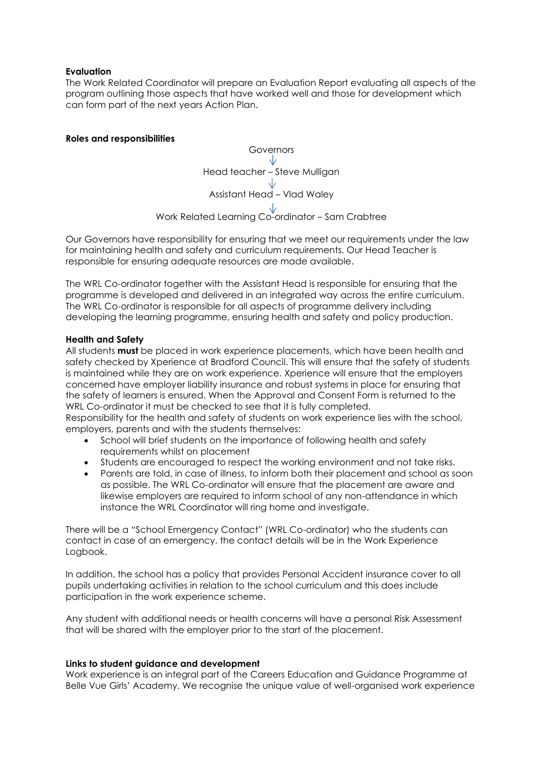# **Evaluation**

The Work Related Coordinator will prepare an Evaluation Report evaluating all aspects of the program outlining those aspects that have worked well and those for development which can form part of the next years Action Plan.

# **Roles and responsibilities**



Our Governors have responsibility for ensuring that we meet our requirements under the law for maintaining health and safety and curriculum requirements. Our Head Teacher is responsible for ensuring adequate resources are made available.

The WRL Co-ordinator together with the Assistant Head is responsible for ensuring that the programme is developed and delivered in an integrated way across the entire curriculum. The WRL Co-ordinator is responsible for all aspects of programme delivery including developing the learning programme, ensuring health and safety and policy production.

#### **Health and Safety**

All students **must** be placed in work experience placements, which have been health and safety checked by Xperience at Bradford Council. This will ensure that the safety of students is maintained while they are on work experience. Xperience will ensure that the employers concerned have employer liability insurance and robust systems in place for ensuring that the safety of learners is ensured. When the Approval and Consent Form is returned to the WRL Co-ordinator it must be checked to see that it is fully completed.

Responsibility for the health and safety of students on work experience lies with the school, employers, parents and with the students themselves:

- School will brief students on the importance of following health and safety requirements whilst on placement
- Students are encouraged to respect the working environment and not take risks.
- Parents are told, in case of illness, to inform both their placement and school as soon as possible. The WRL Co-ordinator will ensure that the placement are aware and likewise employers are required to inform school of any non-attendance in which instance the WRL Coordinator will ring home and investigate.

There will be a "School Emergency Contact" (WRL Co-ordinator) who the students can contact in case of an emergency, the contact details will be in the Work Experience Logbook.

In addition, the school has a policy that provides Personal Accident insurance cover to all pupils undertaking activities in relation to the school curriculum and this does include participation in the work experience scheme.

Any student with additional needs or health concerns will have a personal Risk Assessment that will be shared with the employer prior to the start of the placement.

#### **Links to student guidance and development**

Work experience is an integral part of the Careers Education and Guidance Programme at Belle Vue Girls' Academy. We recognise the unique value of well-organised work experience